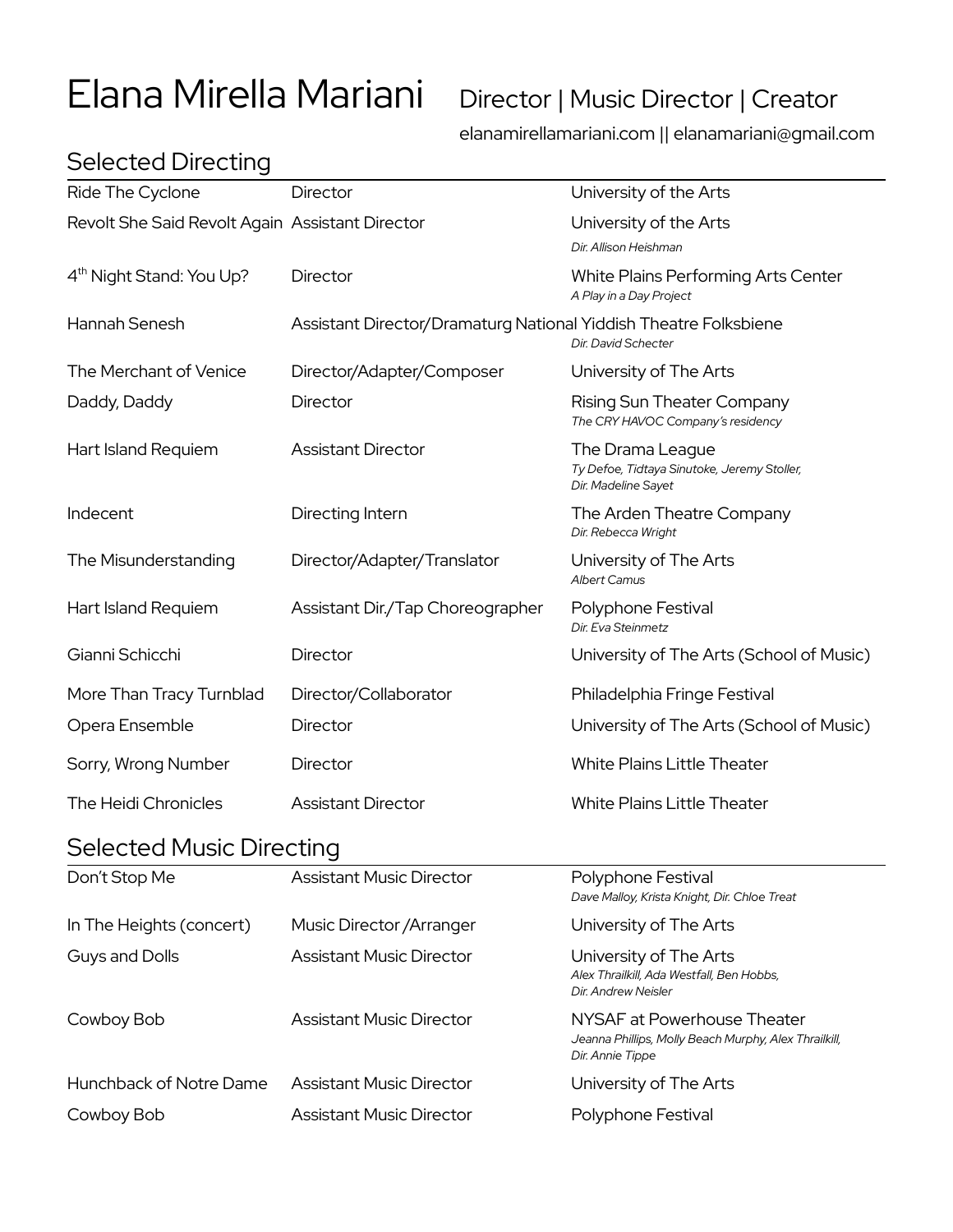# Elana Mirella Mariani Director | Music Director | Creator

elanamirellamariani.com || elanamariani@gmail.com

| Ride The Cyclone                                | Director                                                         | University of the Arts                                                                                   |  |
|-------------------------------------------------|------------------------------------------------------------------|----------------------------------------------------------------------------------------------------------|--|
| Revolt She Said Revolt Again Assistant Director |                                                                  | University of the Arts<br>Dir. Allison Heishman                                                          |  |
| 4 <sup>th</sup> Night Stand: You Up?            | Director                                                         | White Plains Performing Arts Center<br>A Play in a Day Project                                           |  |
| Hannah Senesh                                   | Assistant Director/Dramaturg National Yiddish Theatre Folksbiene | Dir. David Schecter                                                                                      |  |
| The Merchant of Venice                          | Director/Adapter/Composer                                        | University of The Arts                                                                                   |  |
| Daddy, Daddy                                    | Director                                                         | Rising Sun Theater Company<br>The CRY HAVOC Company's residency                                          |  |
| Hart Island Requiem                             | <b>Assistant Director</b>                                        | The Drama League<br>Ty Defoe, Tidtaya Sinutoke, Jeremy Stoller,<br>Dir. Madeline Sayet                   |  |
| Indecent                                        | Directing Intern                                                 | The Arden Theatre Company<br>Dir. Rebecca Wright                                                         |  |
| The Misunderstanding                            | Director/Adapter/Translator                                      | University of The Arts<br><b>Albert Camus</b>                                                            |  |
| Hart Island Requiem                             | Assistant Dir./Tap Choreographer                                 | Polyphone Festival<br>Dir. Eva Steinmetz                                                                 |  |
| Gianni Schicchi                                 | Director                                                         | University of The Arts (School of Music)                                                                 |  |
| More Than Tracy Turnblad                        | Director/Collaborator                                            | Philadelphia Fringe Festival                                                                             |  |
| Opera Ensemble                                  | Director                                                         | University of The Arts (School of Music)                                                                 |  |
| Sorry, Wrong Number                             | Director                                                         | <b>White Plains Little Theater</b>                                                                       |  |
| The Heidi Chronicles                            | <b>Assistant Director</b>                                        | <b>White Plains Little Theater</b>                                                                       |  |
| <b>Selected Music Directing</b>                 |                                                                  |                                                                                                          |  |
| Don't Stop Me                                   | <b>Assistant Music Director</b>                                  | Polyphone Festival<br>Dave Malloy, Krista Knight, Dir. Chloe Treat                                       |  |
| In The Heights (concert)                        | Music Director / Arranger                                        | University of The Arts                                                                                   |  |
| Guys and Dolls                                  | <b>Assistant Music Director</b>                                  | University of The Arts<br>Alex Thrailkill, Ada Westfall, Ben Hobbs,<br>Dir. Andrew Neisler               |  |
| Cowboy Bob                                      | <b>Assistant Music Director</b>                                  | NYSAF at Powerhouse Theater<br>Jeanna Phillips, Molly Beach Murphy, Alex Thrailkill,<br>Dir. Annie Tippe |  |
| Hunchback of Notre Dame                         | <b>Assistant Music Director</b>                                  | University of The Arts                                                                                   |  |
| Cowboy Bob                                      | <b>Assistant Music Director</b>                                  | Polyphone Festival                                                                                       |  |

# Selected Directing